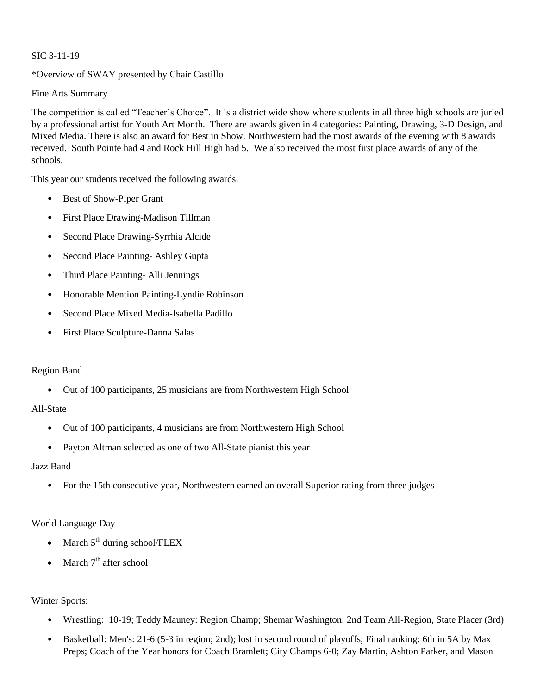### SIC 3-11-19

### \*Overview of SWAY presented by Chair Castillo

Fine Arts Summary

The competition is called "Teacher's Choice". It is a district wide show where students in all three high schools are juried by a professional artist for Youth Art Month. There are awards given in 4 categories: Painting, Drawing, 3-D Design, and Mixed Media. There is also an award for Best in Show. Northwestern had the most awards of the evening with 8 awards received. South Pointe had 4 and Rock Hill High had 5. We also received the most first place awards of any of the schools.

This year our students received the following awards:

- Best of Show-Piper Grant
- First Place Drawing-Madison Tillman
- Second Place Drawing-Syrrhia Alcide
- Second Place Painting- Ashley Gupta
- Third Place Painting- Alli Jennings
- Honorable Mention Painting-Lyndie Robinson
- Second Place Mixed Media-Isabella Padillo
- First Place Sculpture-Danna Salas

#### Region Band

• Out of 100 participants, 25 musicians are from Northwestern High School

# All-State

- Out of 100 participants, 4 musicians are from Northwestern High School
- Payton Altman selected as one of two All-State pianist this year

#### Jazz Band

• For the 15th consecutive year, Northwestern earned an overall Superior rating from three judges

# World Language Day

- March  $5<sup>th</sup>$  during school/FLEX
- March  $7<sup>th</sup>$  after school

# Winter Sports:

- Wrestling: 10-19; Teddy Mauney: Region Champ; Shemar Washington: 2nd Team All-Region, State Placer (3rd)
- Basketball: Men's: 21-6 (5-3 in region; 2nd); lost in second round of playoffs; Final ranking: 6th in 5A by Max Preps; Coach of the Year honors for Coach Bramlett; City Champs 6-0; Zay Martin, Ashton Parker, and Mason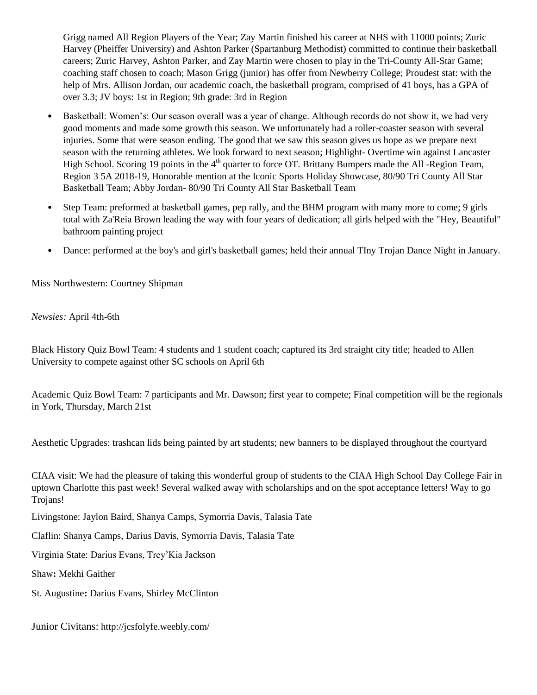Grigg named All Region Players of the Year; Zay Martin finished his career at NHS with 11000 points; Zuric Harvey (Pheiffer University) and Ashton Parker (Spartanburg Methodist) committed to continue their basketball careers; Zuric Harvey, Ashton Parker, and Zay Martin were chosen to play in the Tri-County All-Star Game; coaching staff chosen to coach; Mason Grigg (junior) has offer from Newberry College; Proudest stat: with the help of Mrs. Allison Jordan, our academic coach, the basketball program, comprised of 41 boys, has a GPA of over 3.3; JV boys: 1st in Region; 9th grade: 3rd in Region

- Basketball: Women's: Our season overall was a year of change. Although records do not show it, we had very good moments and made some growth this season. We unfortunately had a roller-coaster season with several injuries. Some that were season ending. The good that we saw this season gives us hope as we prepare next season with the returning athletes. We look forward to next season; Highlight- Overtime win against Lancaster High School. Scoring 19 points in the  $4<sup>th</sup>$  quarter to force OT. Brittany Bumpers made the All -Region Team, Region 3 5A 2018-19, Honorable mention at the Iconic Sports Holiday Showcase, 80/90 Tri County All Star Basketball Team; Abby Jordan- 80/90 Tri County All Star Basketball Team
- Step Team: preformed at basketball games, pep rally, and the BHM program with many more to come; 9 girls total with Za'Reia Brown leading the way with four years of dedication; all girls helped with the "Hey, Beautiful" bathroom painting project
- Dance: performed at the boy's and girl's basketball games; held their annual TIny Trojan Dance Night in January.

Miss Northwestern: Courtney Shipman

*Newsies:* April 4th-6th

Black History Quiz Bowl Team: 4 students and 1 student coach; captured its 3rd straight city title; headed to Allen University to compete against other SC schools on April 6th

Academic Quiz Bowl Team: 7 participants and Mr. Dawson; first year to compete; Final competition will be the regionals in York, Thursday, March 21st

Aesthetic Upgrades: trashcan lids being painted by art students; new banners to be displayed throughout the courtyard

CIAA visit: We had the pleasure of taking this wonderful group of students to the CIAA High School Day College Fair in uptown Charlotte this past week! Several walked away with scholarships and on the spot acceptance letters! Way to go Trojans!

Livingstone: Jaylon Baird, Shanya Camps, Symorria Davis, Talasia Tate

Claflin: Shanya Camps, Darius Davis, Symorria Davis, Talasia Tate

Virginia State: Darius Evans, Trey'Kia Jackson

Shaw**:** Mekhi Gaither

St. Augustine**:** Darius Evans, Shirley McClinton

Junior Civitans: http://jcsfolyfe.weebly.com/